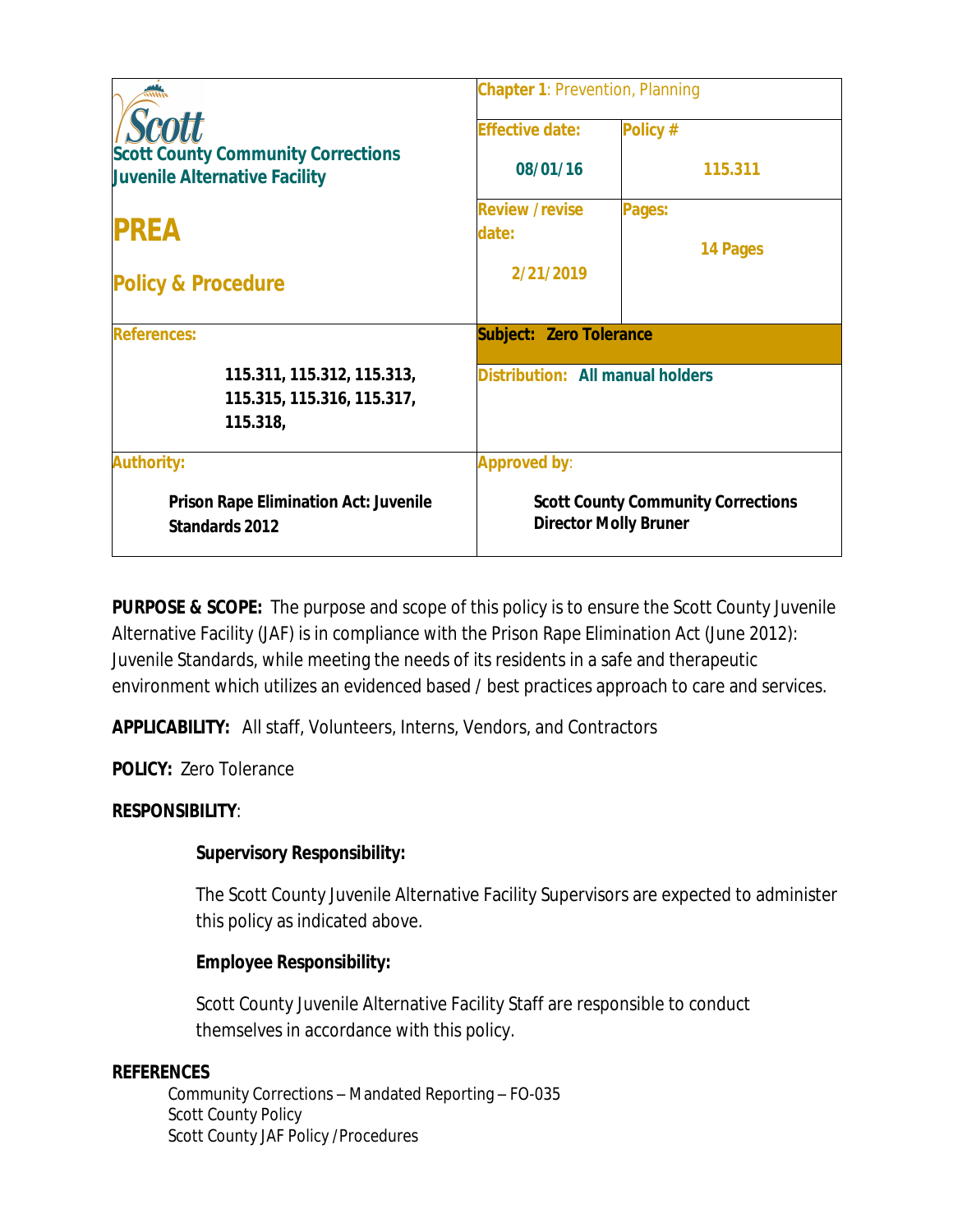|                                                                            | <b>Chapter 1: Prevention, Planning</b>  |                                                                           |  |
|----------------------------------------------------------------------------|-----------------------------------------|---------------------------------------------------------------------------|--|
| <b>Scott</b>                                                               | <b>Effective date:</b>                  | Policy #                                                                  |  |
| <b>Scott County Community Corrections</b><br>Juvenile Alternative Facility | 08/01/16                                | 115.311                                                                   |  |
| <b>PREA</b>                                                                | <b>Review /revise</b><br>date:          | Pages:<br>14 Pages                                                        |  |
| <b>Policy &amp; Procedure</b>                                              | 2/21/2019                               |                                                                           |  |
| <b>References:</b>                                                         | <b>Subject: Zero Tolerance</b>          |                                                                           |  |
| 115.311, 115.312, 115.313,<br>115.315, 115.316, 115.317,<br>115.318,       | <b>Distribution: All manual holders</b> |                                                                           |  |
| <b>Authority:</b>                                                          | <b>Approved by:</b>                     |                                                                           |  |
| <b>Prison Rape Elimination Act: Juvenile</b><br>Standards 2012             |                                         | <b>Scott County Community Corrections</b><br><b>Director Molly Bruner</b> |  |

**PURPOSE & SCOPE:** The purpose and scope of this policy is to ensure the Scott County Juvenile Alternative Facility (JAF) is in compliance with the Prison Rape Elimination Act (June 2012): Juvenile Standards, while meeting the needs of its residents in a safe and therapeutic environment which utilizes an evidenced based / best practices approach to care and services.

**APPLICABILITY:** All staff, Volunteers, Interns, Vendors, and Contractors

**POLICY:** Zero Tolerance

# **RESPONSIBILITY**:

# **Supervisory Responsibility:**

The Scott County Juvenile Alternative Facility Supervisors are expected to administer this policy as indicated above.

### **Employee Responsibility:**

Scott County Juvenile Alternative Facility Staff are responsible to conduct themselves in accordance with this policy.

### **REFERENCES**

Community Corrections – Mandated Reporting – FO-035 Scott County Policy Scott County JAF Policy /Procedures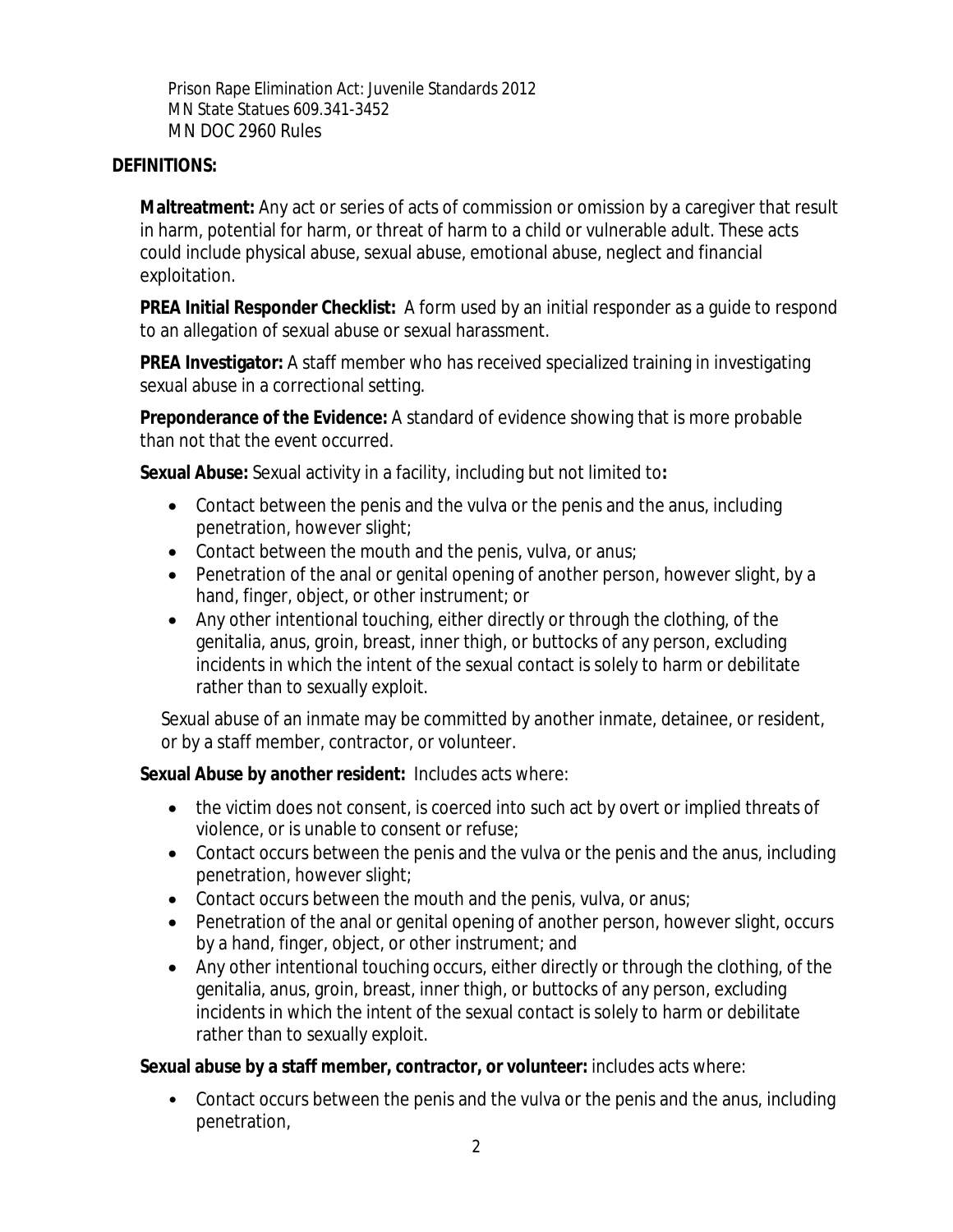Prison Rape Elimination Act: Juvenile Standards 2012 MN State Statues 609.341-3452 MN DOC 2960 Rules

#### **DEFINITIONS:**

**Maltreatment:** Any act or series of acts of commission or omission by a caregiver that result in harm, potential for harm, or threat of harm to a child or vulnerable adult. These acts could include physical abuse, sexual abuse, emotional abuse, neglect and financial exploitation.

**PREA Initial Responder Checklist:** A form used by an initial responder as a guide to respond to an allegation of sexual abuse or sexual harassment.

**PREA Investigator:** A staff member who has received specialized training in investigating sexual abuse in a correctional setting.

**Preponderance of the Evidence:** A standard of evidence showing that is more probable than not that the event occurred.

**Sexual Abuse:** Sexual activity in a facility, including but not limited to**:**

- Contact between the penis and the vulva or the penis and the anus, including penetration, however slight;
- Contact between the mouth and the penis, vulva, or anus;
- Penetration of the anal or genital opening of another person, however slight, by a hand, finger, object, or other instrument; or
- Any other intentional touching, either directly or through the clothing, of the genitalia, anus, groin, breast, inner thigh, or buttocks of any person, excluding incidents in which the intent of the sexual contact is solely to harm or debilitate rather than to sexually exploit.

Sexual abuse of an inmate may be committed by another inmate, detainee, or resident, or by a staff member, contractor, or volunteer.

**Sexual Abuse by another resident:** Includes acts where:

- the victim does not consent, is coerced into such act by overt or implied threats of violence, or is unable to consent or refuse;
- Contact occurs between the penis and the vulva or the penis and the anus, including penetration, however slight;
- Contact occurs between the mouth and the penis, vulva, or anus;
- Penetration of the anal or genital opening of another person, however slight, occurs by a hand, finger, object, or other instrument; and
- Any other intentional touching occurs, either directly or through the clothing, of the genitalia, anus, groin, breast, inner thigh, or buttocks of any person, excluding incidents in which the intent of the sexual contact is solely to harm or debilitate rather than to sexually exploit.

**Sexual abuse by a staff member, contractor, or volunteer:** includes acts where:

• Contact occurs between the penis and the vulva or the penis and the anus, including penetration,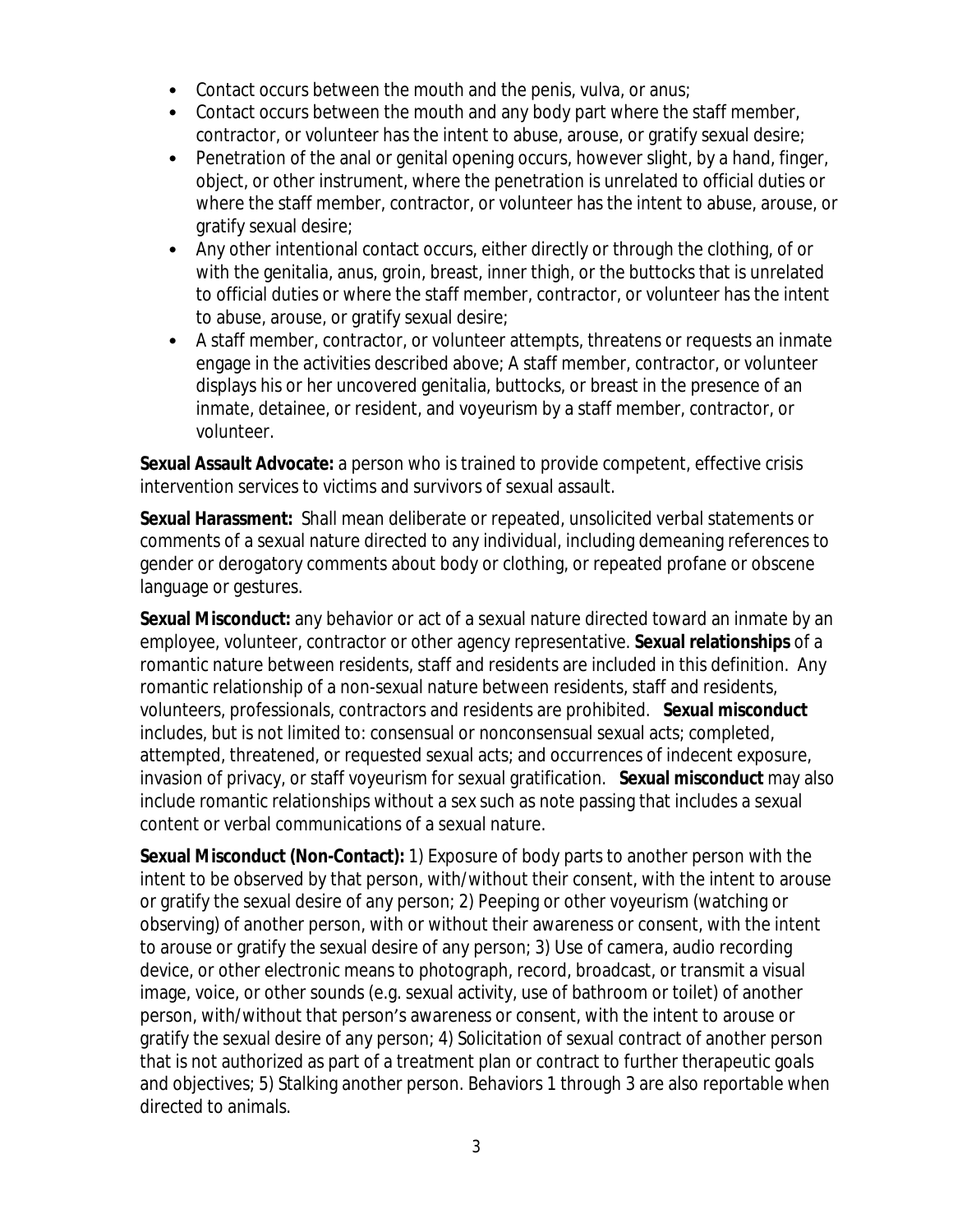- Contact occurs between the mouth and the penis, vulva, or anus;
- Contact occurs between the mouth and any body part where the staff member, contractor, or volunteer has the intent to abuse, arouse, or gratify sexual desire;
- Penetration of the anal or genital opening occurs, however slight, by a hand, finger, object, or other instrument, where the penetration is unrelated to official duties or where the staff member, contractor, or volunteer has the intent to abuse, arouse, or gratify sexual desire;
- Any other intentional contact occurs, either directly or through the clothing, of or with the genitalia, anus, groin, breast, inner thigh, or the buttocks that is unrelated to official duties or where the staff member, contractor, or volunteer has the intent to abuse, arouse, or gratify sexual desire;
- A staff member, contractor, or volunteer attempts, threatens or requests an inmate engage in the activities described above; A staff member, contractor, or volunteer displays his or her uncovered genitalia, buttocks, or breast in the presence of an inmate, detainee, or resident, and voyeurism by a staff member, contractor, or volunteer.

**Sexual Assault Advocate:** a person who is trained to provide competent, effective crisis intervention services to victims and survivors of sexual assault.

**Sexual Harassment:** Shall mean deliberate or repeated, unsolicited verbal statements or comments of a sexual nature directed to any individual, including demeaning references to gender or derogatory comments about body or clothing, or repeated profane or obscene language or gestures.

**Sexual Misconduct:** any behavior or act of a sexual nature directed toward an inmate by an employee, volunteer, contractor or other agency representative. **Sexual relationships** of a romantic nature between residents, staff and residents are included in this definition. Any romantic relationship of a non-sexual nature between residents, staff and residents, volunteers, professionals, contractors and residents are prohibited. **Sexual misconduct** includes, but is not limited to: consensual or nonconsensual sexual acts; completed, attempted, threatened, or requested sexual acts; and occurrences of indecent exposure, invasion of privacy, or staff voyeurism for sexual gratification. **Sexual misconduct** may also include romantic relationships without a sex such as note passing that includes a sexual content or verbal communications of a sexual nature.

**Sexual Misconduct (Non-Contact):** 1) Exposure of body parts to another person with the intent to be observed by that person, with/without their consent, with the intent to arouse or gratify the sexual desire of any person; 2) Peeping or other voyeurism (watching or observing) of another person, with or without their awareness or consent, with the intent to arouse or gratify the sexual desire of any person; 3) Use of camera, audio recording device, or other electronic means to photograph, record, broadcast, or transmit a visual image, voice, or other sounds (e.g. sexual activity, use of bathroom or toilet) of another person, with/without that person's awareness or consent, with the intent to arouse or gratify the sexual desire of any person; 4) Solicitation of sexual contract of another person that is not authorized as part of a treatment plan or contract to further therapeutic goals and objectives; 5) Stalking another person. Behaviors 1 through 3 are also reportable when directed to animals.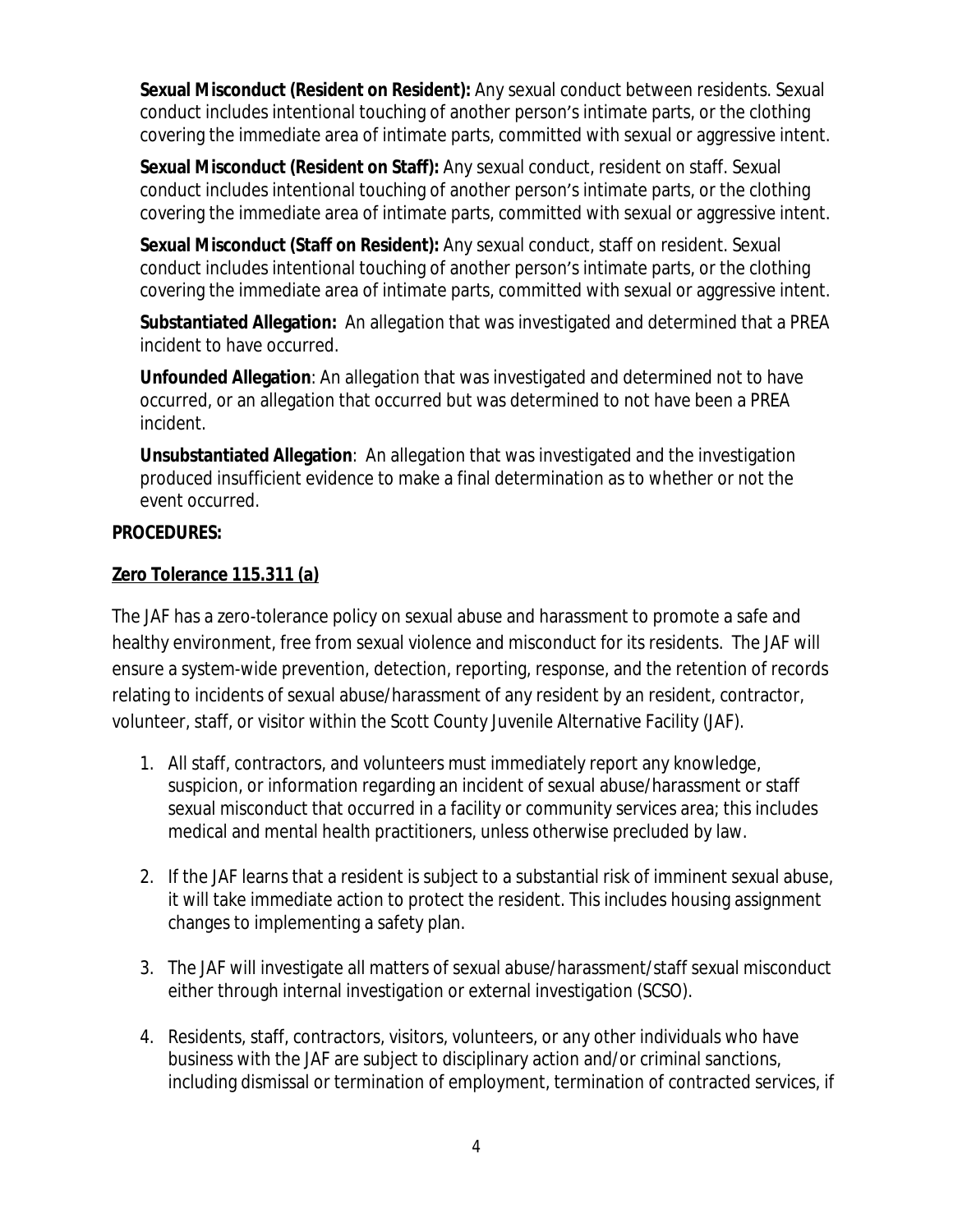**Sexual Misconduct (Resident on Resident):** Any sexual conduct between residents. Sexual conduct includes intentional touching of another person's intimate parts, or the clothing covering the immediate area of intimate parts, committed with sexual or aggressive intent.

**Sexual Misconduct (Resident on Staff):** Any sexual conduct, resident on staff. Sexual conduct includes intentional touching of another person's intimate parts, or the clothing covering the immediate area of intimate parts, committed with sexual or aggressive intent.

**Sexual Misconduct (Staff on Resident):** Any sexual conduct, staff on resident. Sexual conduct includes intentional touching of another person's intimate parts, or the clothing covering the immediate area of intimate parts, committed with sexual or aggressive intent.

**Substantiated Allegation:** An allegation that was investigated and determined that a PREA incident to have occurred.

**Unfounded Allegation**: An allegation that was investigated and determined not to have occurred, or an allegation that occurred but was determined to not have been a PREA incident.

**Unsubstantiated Allegation**: An allegation that was investigated and the investigation produced insufficient evidence to make a final determination as to whether or not the event occurred.

### **PROCEDURES:**

#### **Zero Tolerance 115.311 (a)**

The JAF has a zero-tolerance policy on sexual abuse and harassment to promote a safe and healthy environment, free from sexual violence and misconduct for its residents. The JAF will ensure a system-wide prevention, detection, reporting, response, and the retention of records relating to incidents of sexual abuse/harassment of any resident by an resident, contractor, volunteer, staff, or visitor within the Scott County Juvenile Alternative Facility (JAF).

- 1. All staff, contractors, and volunteers must immediately report any knowledge, suspicion, or information regarding an incident of sexual abuse/harassment or staff sexual misconduct that occurred in a facility or community services area; this includes medical and mental health practitioners, unless otherwise precluded by law.
- 2. If the JAF learns that a resident is subject to a substantial risk of imminent sexual abuse, it will take immediate action to protect the resident. This includes housing assignment changes to implementing a safety plan.
- 3. The JAF will investigate all matters of sexual abuse/harassment/staff sexual misconduct either through internal investigation or external investigation (SCSO).
- 4. Residents, staff, contractors, visitors, volunteers, or any other individuals who have business with the JAF are subject to disciplinary action and/or criminal sanctions, including dismissal or termination of employment, termination of contracted services, if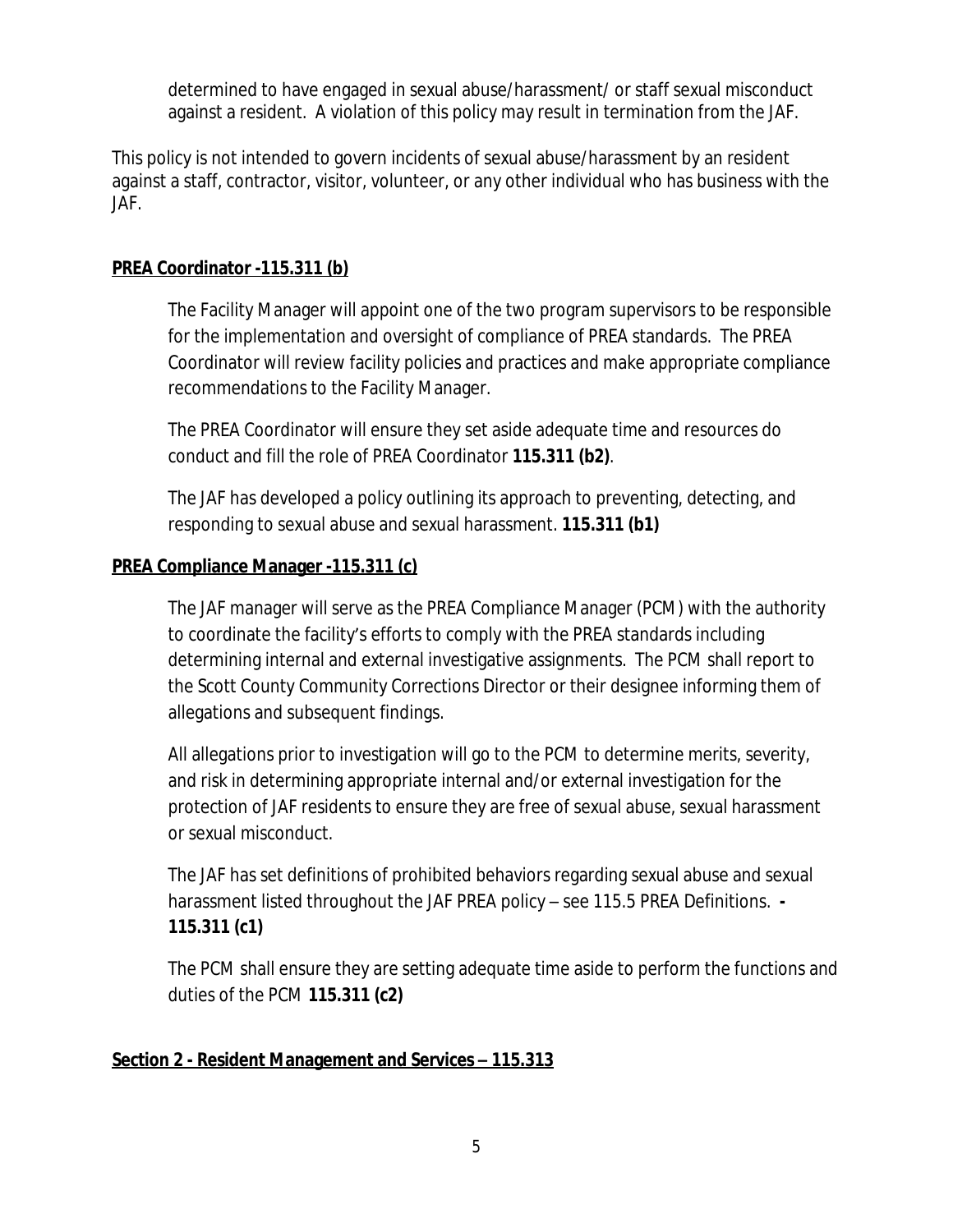determined to have engaged in sexual abuse/harassment/ or staff sexual misconduct against a resident. A violation of this policy may result in termination from the JAF.

This policy is not intended to govern incidents of sexual abuse/harassment by an resident against a staff, contractor, visitor, volunteer, or any other individual who has business with the JAF.

### **PREA Coordinator -115.311 (b)**

The Facility Manager will appoint one of the two program supervisors to be responsible for the implementation and oversight of compliance of PREA standards. The PREA Coordinator will review facility policies and practices and make appropriate compliance recommendations to the Facility Manager.

The PREA Coordinator will ensure they set aside adequate time and resources do conduct and fill the role of PREA Coordinator **115.311 (b2)**.

The JAF has developed a policy outlining its approach to preventing, detecting, and responding to sexual abuse and sexual harassment. **115.311 (b1)**

### **PREA Compliance Manager -115.311 (c)**

The JAF manager will serve as the PREA Compliance Manager (PCM) with the authority to coordinate the facility's efforts to comply with the PREA standards including determining internal and external investigative assignments. The PCM shall report to the Scott County Community Corrections Director or their designee informing them of allegations and subsequent findings.

All allegations prior to investigation will go to the PCM to determine merits, severity, and risk in determining appropriate internal and/or external investigation for the protection of JAF residents to ensure they are free of sexual abuse, sexual harassment or sexual misconduct.

The JAF has set definitions of prohibited behaviors regarding sexual abuse and sexual harassment listed throughout the JAF PREA policy – see 115.5 PREA Definitions. **- 115.311 (c1)** 

The PCM shall ensure they are setting adequate time aside to perform the functions and duties of the PCM **115.311 (c2)**

# **Section 2 - Resident Management and Services – 115.313**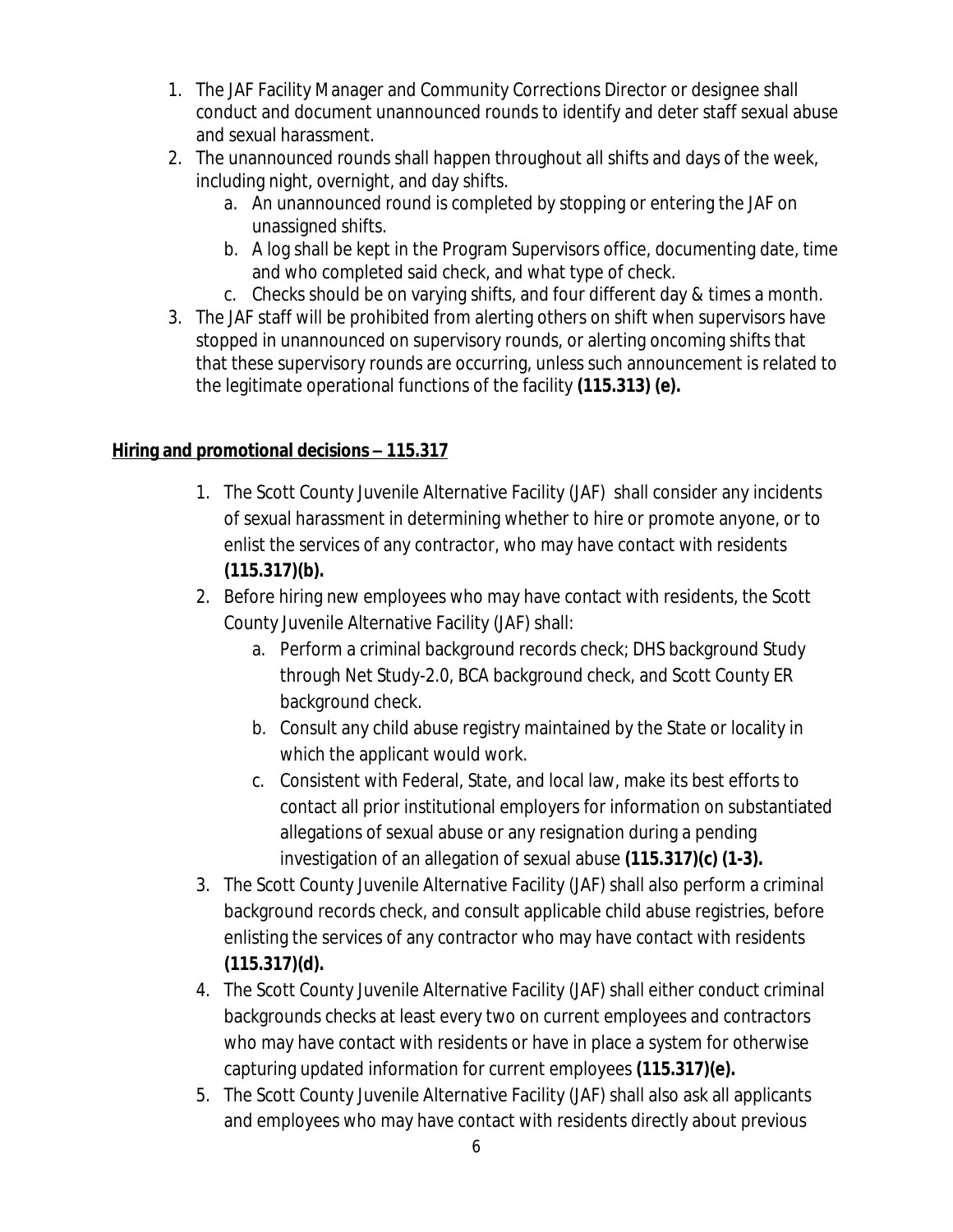- 1. The JAF Facility Manager and Community Corrections Director or designee shall conduct and document unannounced rounds to identify and deter staff sexual abuse and sexual harassment.
- 2. The unannounced rounds shall happen throughout all shifts and days of the week, including night, overnight, and day shifts.
	- a. An unannounced round is completed by stopping or entering the JAF on unassigned shifts.
	- b. A log shall be kept in the Program Supervisors office, documenting date, time and who completed said check, and what type of check.
	- c. Checks should be on varying shifts, and four different day & times a month.
- 3. The JAF staff will be prohibited from alerting others on shift when supervisors have stopped in unannounced on supervisory rounds, or alerting oncoming shifts that that these supervisory rounds are occurring, unless such announcement is related to the legitimate operational functions of the facility **(115.313) (e).**

# **Hiring and promotional decisions – 115.317**

- 1. The Scott County Juvenile Alternative Facility (JAF) shall consider any incidents of sexual harassment in determining whether to hire or promote anyone, or to enlist the services of any contractor, who may have contact with residents **(115.317)(b).**
- 2. Before hiring new employees who may have contact with residents, the Scott County Juvenile Alternative Facility (JAF) shall:
	- a. Perform a criminal background records check; DHS background Study through Net Study-2.0, BCA background check, and Scott County ER background check.
	- b. Consult any child abuse registry maintained by the State or locality in which the applicant would work.
	- c. Consistent with Federal, State, and local law, make its best efforts to contact all prior institutional employers for information on substantiated allegations of sexual abuse or any resignation during a pending investigation of an allegation of sexual abuse **(115.317)(c) (1-3).**
- 3. The Scott County Juvenile Alternative Facility (JAF) shall also perform a criminal background records check, and consult applicable child abuse registries, before enlisting the services of any contractor who may have contact with residents **(115.317)(d).**
- 4. The Scott County Juvenile Alternative Facility (JAF) shall either conduct criminal backgrounds checks at least every two on current employees and contractors who may have contact with residents or have in place a system for otherwise capturing updated information for current employees **(115.317)(e).**
- 5. The Scott County Juvenile Alternative Facility (JAF) shall also ask all applicants and employees who may have contact with residents directly about previous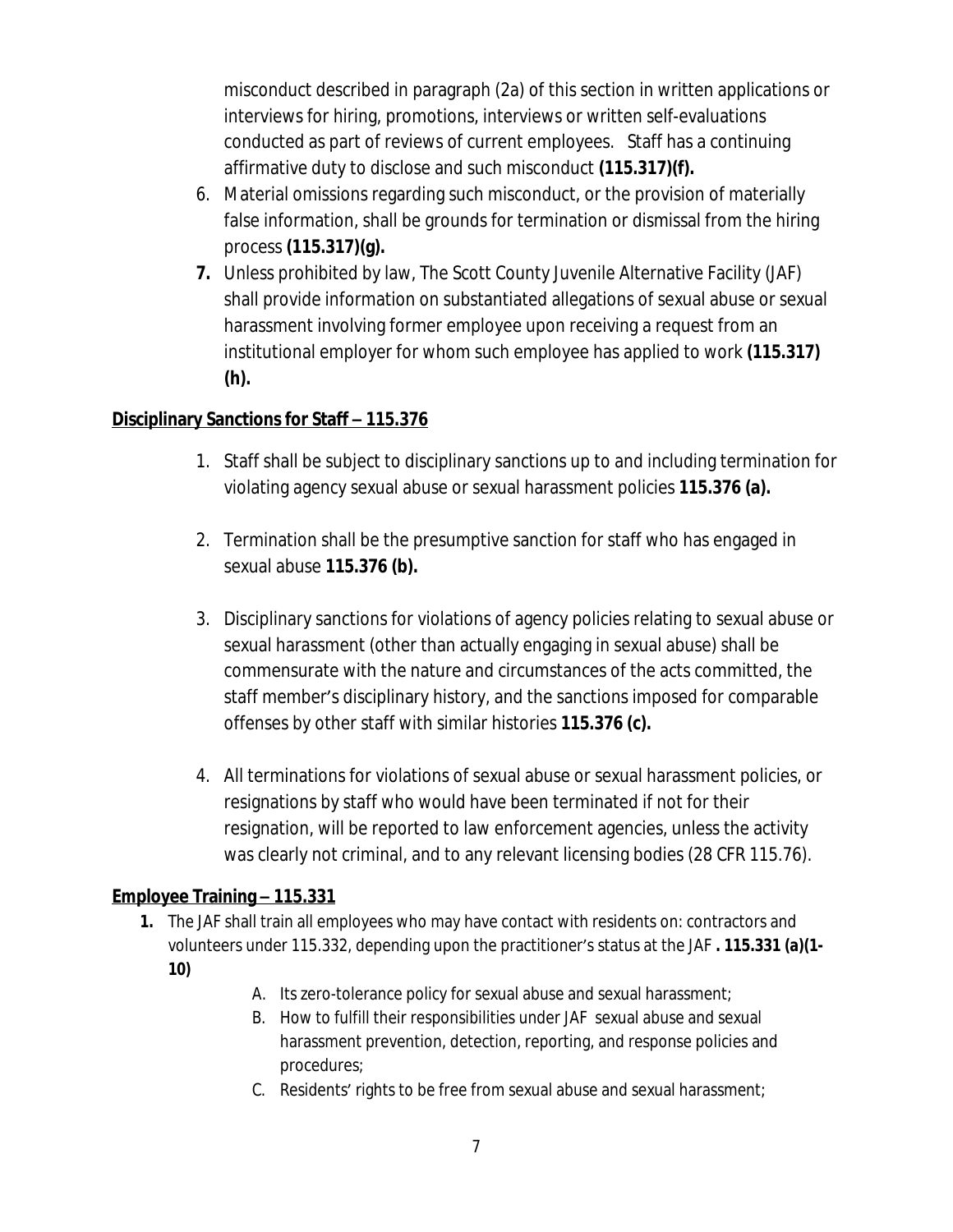misconduct described in paragraph (2a) of this section in written applications or interviews for hiring, promotions, interviews or written self-evaluations conducted as part of reviews of current employees. Staff has a continuing affirmative duty to disclose and such misconduct **(115.317)(f).**

- 6. Material omissions regarding such misconduct, or the provision of materially false information, shall be grounds for termination or dismissal from the hiring process **(115.317)(g).**
- **7.** Unless prohibited by law, The Scott County Juvenile Alternative Facility (JAF) shall provide information on substantiated allegations of sexual abuse or sexual harassment involving former employee upon receiving a request from an institutional employer for whom such employee has applied to work **(115.317) (h).**

### **Disciplinary Sanctions for Staff – 115.376**

- 1. Staff shall be subject to disciplinary sanctions up to and including termination for violating agency sexual abuse or sexual harassment policies **115.376 (a).**
- 2. Termination shall be the presumptive sanction for staff who has engaged in sexual abuse **115.376 (b).**
- 3. Disciplinary sanctions for violations of agency policies relating to sexual abuse or sexual harassment (other than actually engaging in sexual abuse) shall be commensurate with the nature and circumstances of the acts committed, the staff member's disciplinary history, and the sanctions imposed for comparable offenses by other staff with similar histories **115.376 (c).**
- 4. All terminations for violations of sexual abuse or sexual harassment policies, or resignations by staff who would have been terminated if not for their resignation, will be reported to law enforcement agencies, unless the activity was clearly not criminal, and to any relevant licensing bodies (28 CFR 115.76).

### **Employee Training – 115.331**

- **1.** The JAF shall train all employees who may have contact with residents on: contractors and volunteers under 115.332, depending upon the practitioner's status at the JAF **. 115.331 (a)(1- 10)**
	- A. Its zero-tolerance policy for sexual abuse and sexual harassment;
	- B. How to fulfill their responsibilities under JAF sexual abuse and sexual harassment prevention, detection, reporting, and response policies and procedures;
	- C. Residents' rights to be free from sexual abuse and sexual harassment;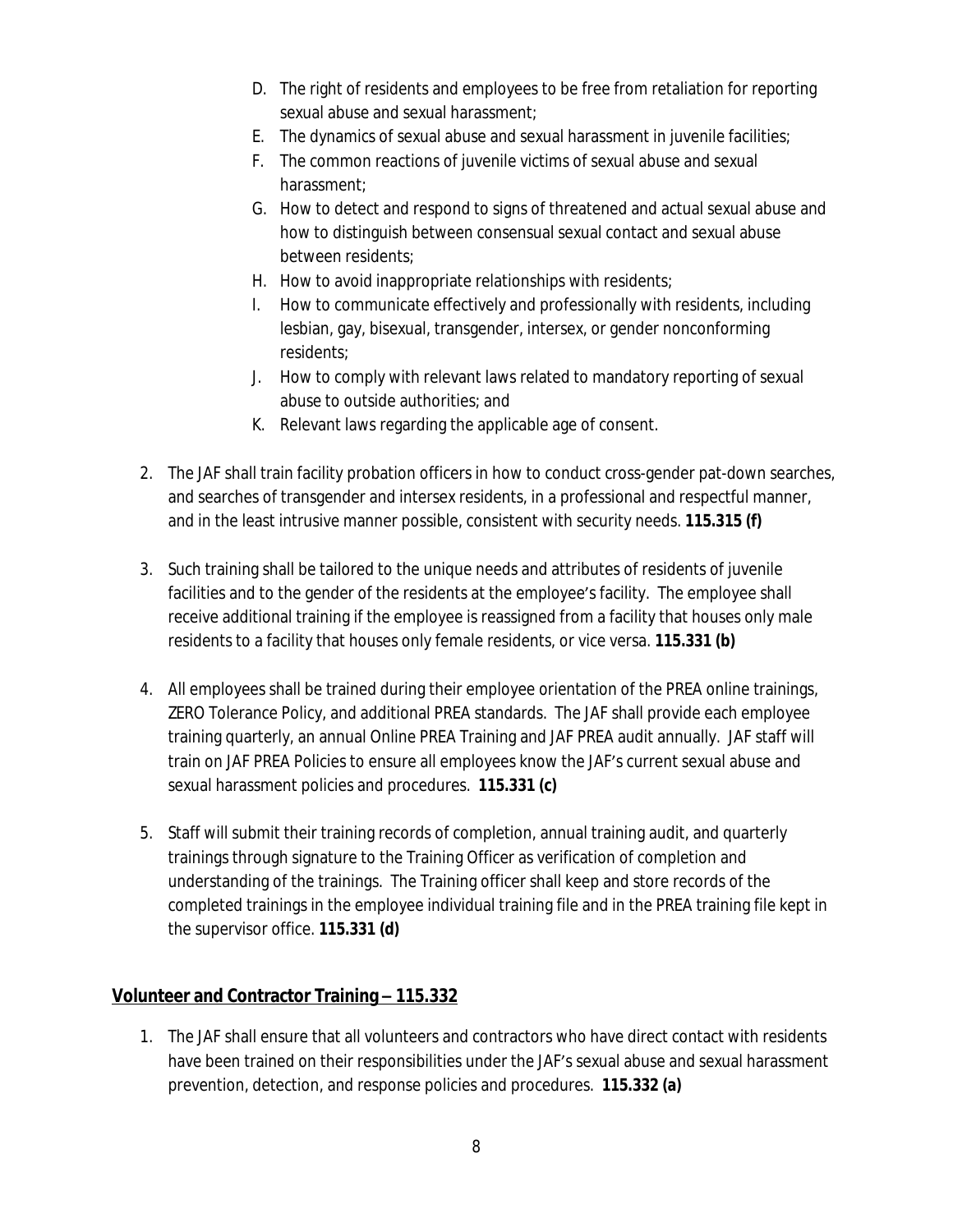- D. The right of residents and employees to be free from retaliation for reporting sexual abuse and sexual harassment;
- E. The dynamics of sexual abuse and sexual harassment in juvenile facilities;
- F. The common reactions of juvenile victims of sexual abuse and sexual harassment;
- G. How to detect and respond to signs of threatened and actual sexual abuse and how to distinguish between consensual sexual contact and sexual abuse between residents;
- H. How to avoid inappropriate relationships with residents;
- I. How to communicate effectively and professionally with residents, including lesbian, gay, bisexual, transgender, intersex, or gender nonconforming residents;
- J. How to comply with relevant laws related to mandatory reporting of sexual abuse to outside authorities; and
- K. Relevant laws regarding the applicable age of consent.
- 2. The JAF shall train facility probation officers in how to conduct cross-gender pat-down searches, and searches of transgender and intersex residents, in a professional and respectful manner, and in the least intrusive manner possible, consistent with security needs. **115.315 (f)**
- 3. Such training shall be tailored to the unique needs and attributes of residents of juvenile facilities and to the gender of the residents at the employee's facility. The employee shall receive additional training if the employee is reassigned from a facility that houses only male residents to a facility that houses only female residents, or vice versa. **115.331 (b)**
- 4. All employees shall be trained during their employee orientation of the PREA online trainings, ZERO Tolerance Policy, and additional PREA standards. The JAF shall provide each employee training quarterly, an annual Online PREA Training and JAF PREA audit annually. JAF staff will train on JAF PREA Policies to ensure all employees know the JAF's current sexual abuse and sexual harassment policies and procedures. **115.331 (c)**
- 5. Staff will submit their training records of completion, annual training audit, and quarterly trainings through signature to the Training Officer as verification of completion and understanding of the trainings. The Training officer shall keep and store records of the completed trainings in the employee individual training file and in the PREA training file kept in the supervisor office. **115.331 (d)**

### **Volunteer and Contractor Training – 115.332**

1. The JAF shall ensure that all volunteers and contractors who have direct contact with residents have been trained on their responsibilities under the JAF's sexual abuse and sexual harassment prevention, detection, and response policies and procedures. **115.332 (a)**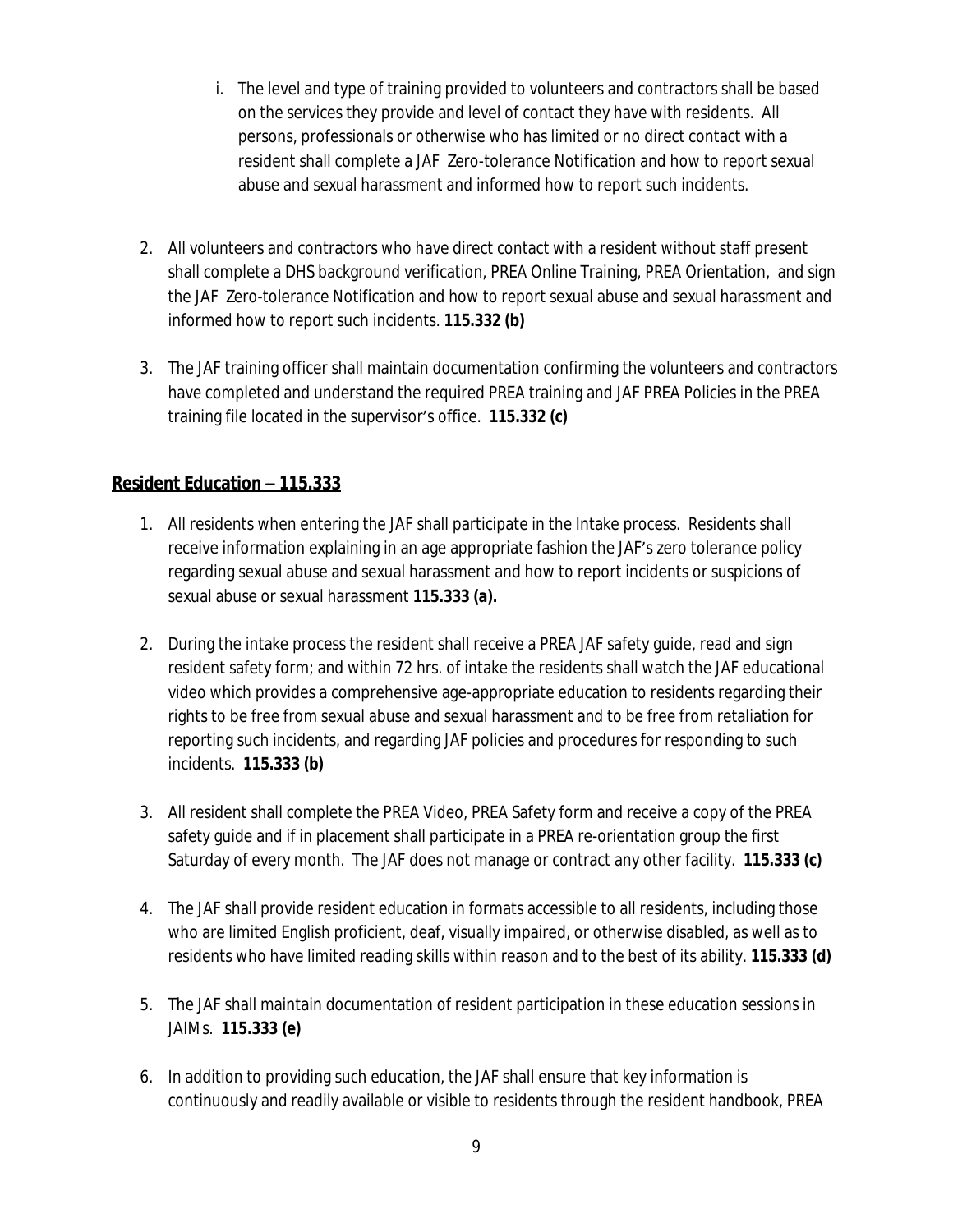- i. The level and type of training provided to volunteers and contractors shall be based on the services they provide and level of contact they have with residents. All persons, professionals or otherwise who has limited or no direct contact with a resident shall complete a JAF Zero-tolerance Notification and how to report sexual abuse and sexual harassment and informed how to report such incidents.
- 2. All volunteers and contractors who have direct contact with a resident without staff present shall complete a DHS background verification, PREA Online Training, PREA Orientation, and sign the JAF Zero-tolerance Notification and how to report sexual abuse and sexual harassment and informed how to report such incidents. **115.332 (b)**
- 3. The JAF training officer shall maintain documentation confirming the volunteers and contractors have completed and understand the required PREA training and JAF PREA Policies in the PREA training file located in the supervisor's office. **115.332 (c)**

### **Resident Education – 115.333**

- 1. All residents when entering the JAF shall participate in the Intake process. Residents shall receive information explaining in an age appropriate fashion the JAF's zero tolerance policy regarding sexual abuse and sexual harassment and how to report incidents or suspicions of sexual abuse or sexual harassment **115.333 (a).**
- 2. During the intake process the resident shall receive a PREA JAF safety guide, read and sign resident safety form; and within 72 hrs. of intake the residents shall watch the JAF educational video which provides a comprehensive age-appropriate education to residents regarding their rights to be free from sexual abuse and sexual harassment and to be free from retaliation for reporting such incidents, and regarding JAF policies and procedures for responding to such incidents. **115.333 (b)**
- 3. All resident shall complete the PREA Video, PREA Safety form and receive a copy of the PREA safety guide and if in placement shall participate in a PREA re-orientation group the first Saturday of every month. The JAF does not manage or contract any other facility. **115.333 (c)**
- 4. The JAF shall provide resident education in formats accessible to all residents, including those who are limited English proficient, deaf, visually impaired, or otherwise disabled, as well as to residents who have limited reading skills within reason and to the best of its ability. **115.333 (d)**
- 5. The JAF shall maintain documentation of resident participation in these education sessions in JAIMs. **115.333 (e)**
- 6. In addition to providing such education, the JAF shall ensure that key information is continuously and readily available or visible to residents through the resident handbook, PREA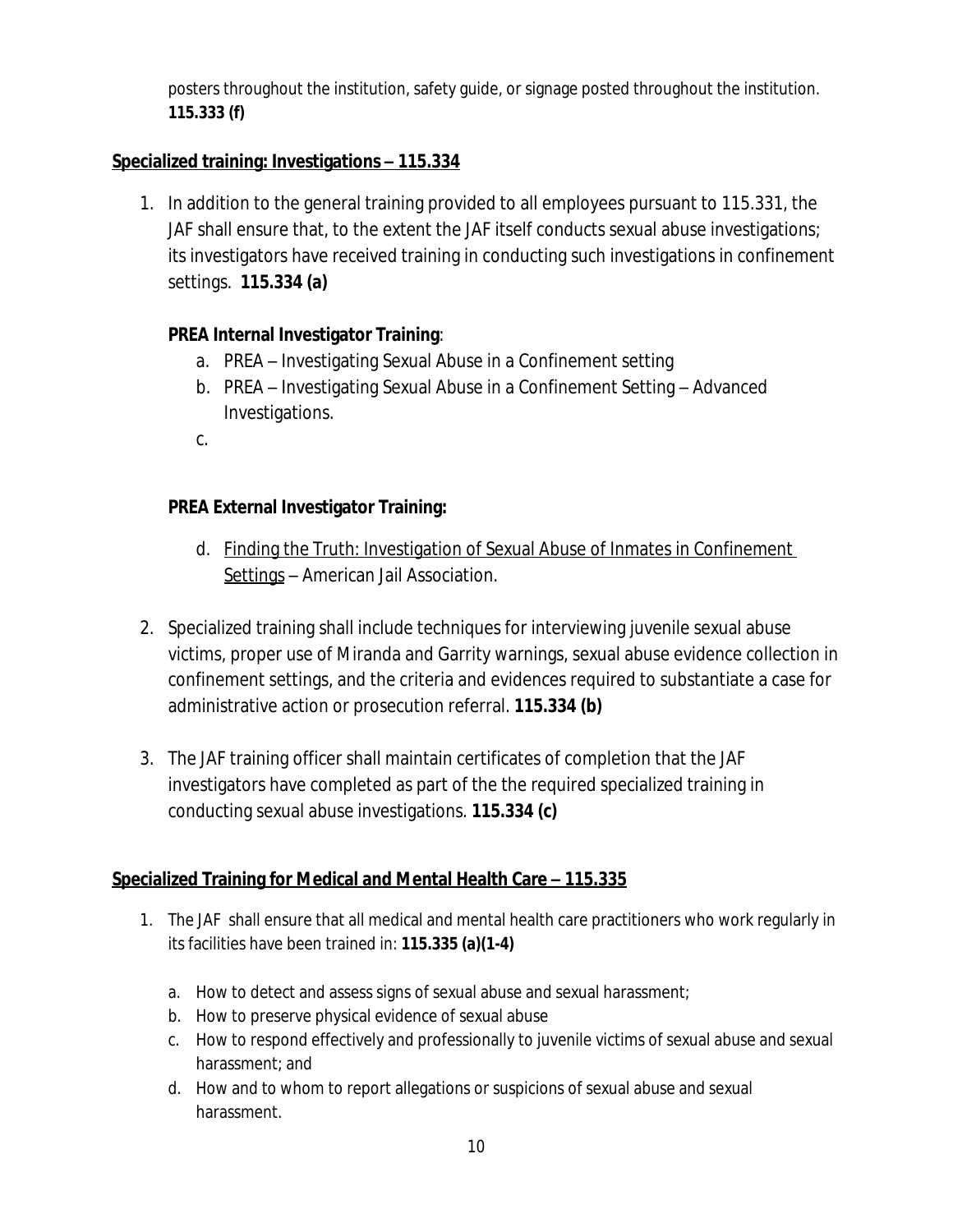posters throughout the institution, safety guide, or signage posted throughout the institution. **115.333 (f)**

### **Specialized training: Investigations – 115.334**

1. In addition to the general training provided to all employees pursuant to 115.331, the JAF shall ensure that, to the extent the JAF itself conducts sexual abuse investigations; its investigators have received training in conducting such investigations in confinement settings. **115.334 (a)**

### **PREA Internal Investigator Training**:

- a. PREA Investigating Sexual Abuse in a Confinement setting
- b. PREA Investigating Sexual Abuse in a Confinement Setting Advanced Investigations.
- $C_{\cdot}$

# **PREA External Investigator Training:**

- d. Finding the Truth: Investigation of Sexual Abuse of Inmates in Confinement Settings – American Jail Association.
- 2. Specialized training shall include techniques for interviewing juvenile sexual abuse victims, proper use of Miranda and Garrity warnings, sexual abuse evidence collection in confinement settings, and the criteria and evidences required to substantiate a case for administrative action or prosecution referral. **115.334 (b)**
- 3. The JAF training officer shall maintain certificates of completion that the JAF investigators have completed as part of the the required specialized training in conducting sexual abuse investigations. **115.334 (c)**

### **<u>Specialized Training for Medical and Mental Health Care – 115.335</u>**

- 1. The JAF shall ensure that all medical and mental health care practitioners who work regularly in its facilities have been trained in: **115.335 (a)(1-4)**
	- a. How to detect and assess signs of sexual abuse and sexual harassment;
	- b. How to preserve physical evidence of sexual abuse
	- c. How to respond effectively and professionally to juvenile victims of sexual abuse and sexual harassment; and
	- d. How and to whom to report allegations or suspicions of sexual abuse and sexual harassment.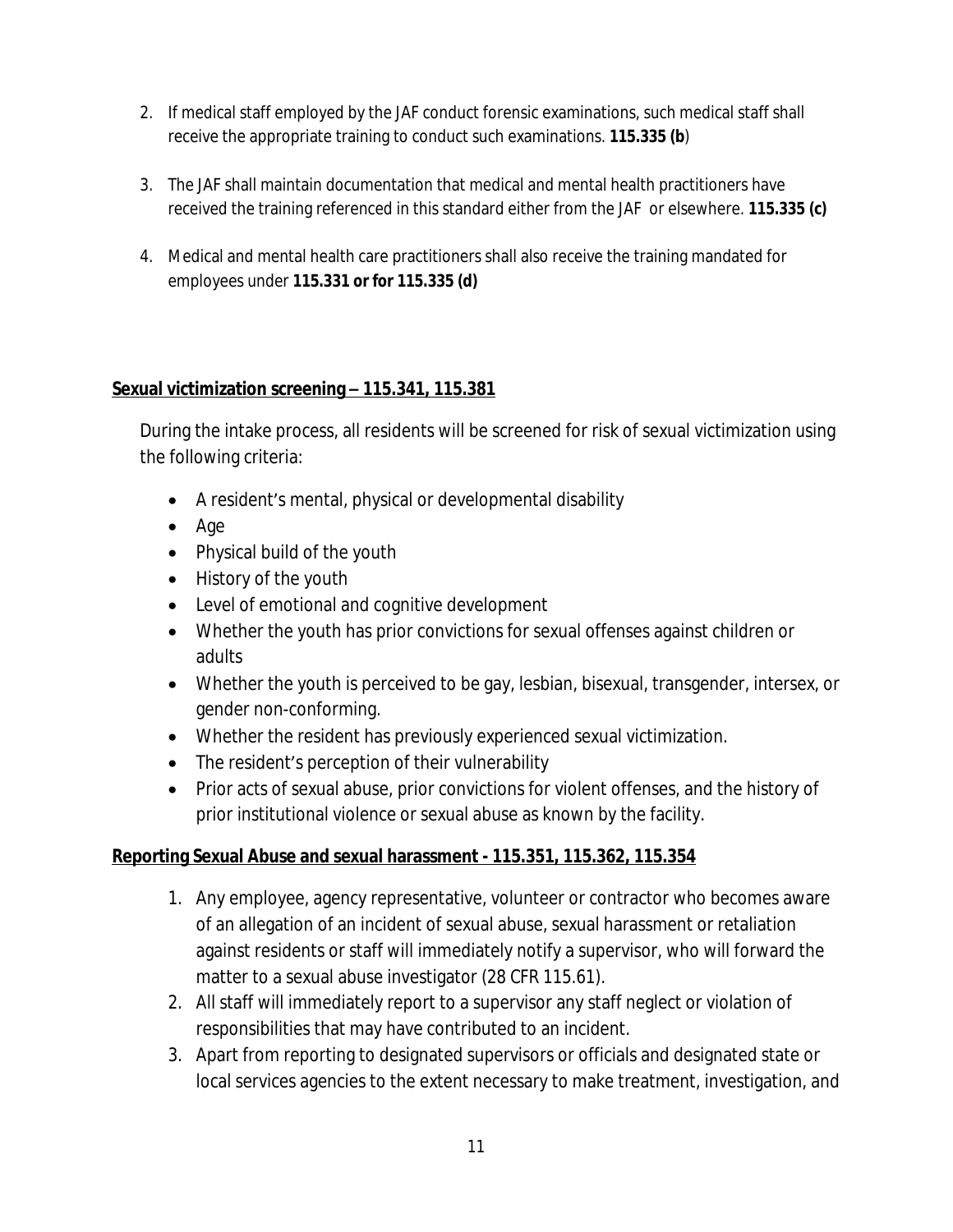- 2. If medical staff employed by the JAF conduct forensic examinations, such medical staff shall receive the appropriate training to conduct such examinations. **115.335 (b**)
- 3. The JAF shall maintain documentation that medical and mental health practitioners have received the training referenced in this standard either from the JAF or elsewhere. **115.335 (c)**
- 4. Medical and mental health care practitioners shall also receive the training mandated for employees under **115.331 or for 115.335 (d)**

### **Sexual victimization screening – 115.341, 115.381**

During the intake process, all residents will be screened for risk of sexual victimization using the following criteria:

- A resident's mental, physical or developmental disability
- Age
- Physical build of the youth
- History of the youth
- Level of emotional and cognitive development
- Whether the youth has prior convictions for sexual offenses against children or adults
- Whether the youth is perceived to be gay, lesbian, bisexual, transgender, intersex, or gender non-conforming.
- Whether the resident has previously experienced sexual victimization.
- The resident's perception of their vulnerability
- Prior acts of sexual abuse, prior convictions for violent offenses, and the history of prior institutional violence or sexual abuse as known by the facility.

# **Reporting Sexual Abuse and sexual harassment - 115.351, 115.362, 115.354**

- 1. Any employee, agency representative, volunteer or contractor who becomes aware of an allegation of an incident of sexual abuse, sexual harassment or retaliation against residents or staff will immediately notify a supervisor, who will forward the matter to a sexual abuse investigator (28 CFR 115.61).
- 2. All staff will immediately report to a supervisor any staff neglect or violation of responsibilities that may have contributed to an incident.
- 3. Apart from reporting to designated supervisors or officials and designated state or local services agencies to the extent necessary to make treatment, investigation, and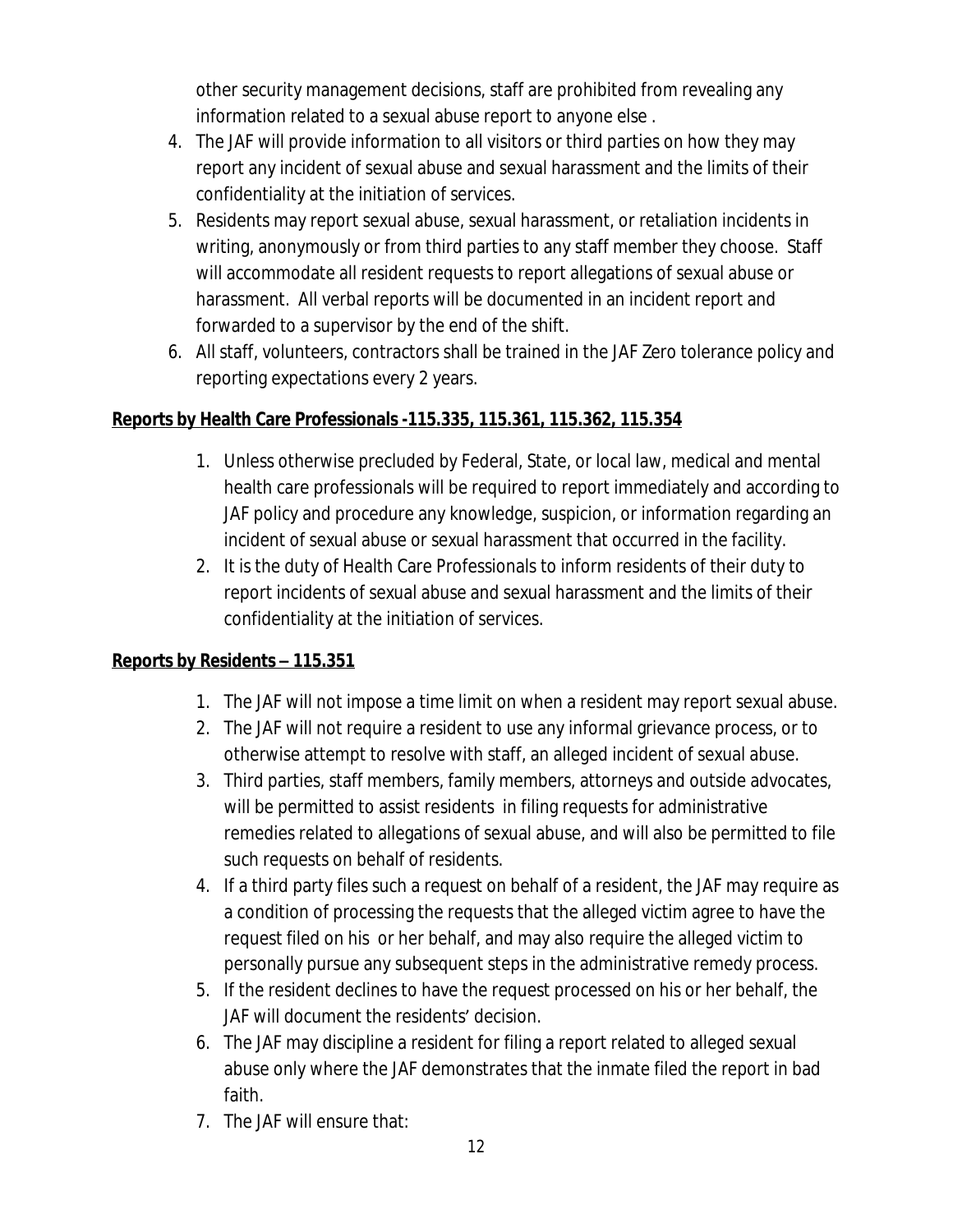other security management decisions, staff are prohibited from revealing any information related to a sexual abuse report to anyone else .

- 4. The JAF will provide information to all visitors or third parties on how they may report any incident of sexual abuse and sexual harassment and the limits of their confidentiality at the initiation of services.
- 5. Residents may report sexual abuse, sexual harassment, or retaliation incidents in writing, anonymously or from third parties to any staff member they choose. Staff will accommodate all resident requests to report allegations of sexual abuse or harassment. All verbal reports will be documented in an incident report and forwarded to a supervisor by the end of the shift.
- 6. All staff, volunteers, contractors shall be trained in the JAF Zero tolerance policy and reporting expectations every 2 years.

# **Reports by Health Care Professionals -115.335, 115.361, 115.362, 115.354**

- 1. Unless otherwise precluded by Federal, State, or local law, medical and mental health care professionals will be required to report immediately and according to JAF policy and procedure any knowledge, suspicion, or information regarding an incident of sexual abuse or sexual harassment that occurred in the facility.
- 2. It is the duty of Health Care Professionals to inform residents of their duty to report incidents of sexual abuse and sexual harassment and the limits of their confidentiality at the initiation of services.

# **Reports by Residents – 115.351**

- 1. The JAF will not impose a time limit on when a resident may report sexual abuse.
- 2. The JAF will not require a resident to use any informal grievance process, or to otherwise attempt to resolve with staff, an alleged incident of sexual abuse.
- 3. Third parties, staff members, family members, attorneys and outside advocates, will be permitted to assist residents in filing requests for administrative remedies related to allegations of sexual abuse, and will also be permitted to file such requests on behalf of residents.
- 4. If a third party files such a request on behalf of a resident, the JAF may require as a condition of processing the requests that the alleged victim agree to have the request filed on his or her behalf, and may also require the alleged victim to personally pursue any subsequent steps in the administrative remedy process.
- 5. If the resident declines to have the request processed on his or her behalf, the JAF will document the residents' decision.
- 6. The JAF may discipline a resident for filing a report related to alleged sexual abuse only where the JAF demonstrates that the inmate filed the report in bad faith.
- 7. The JAF will ensure that: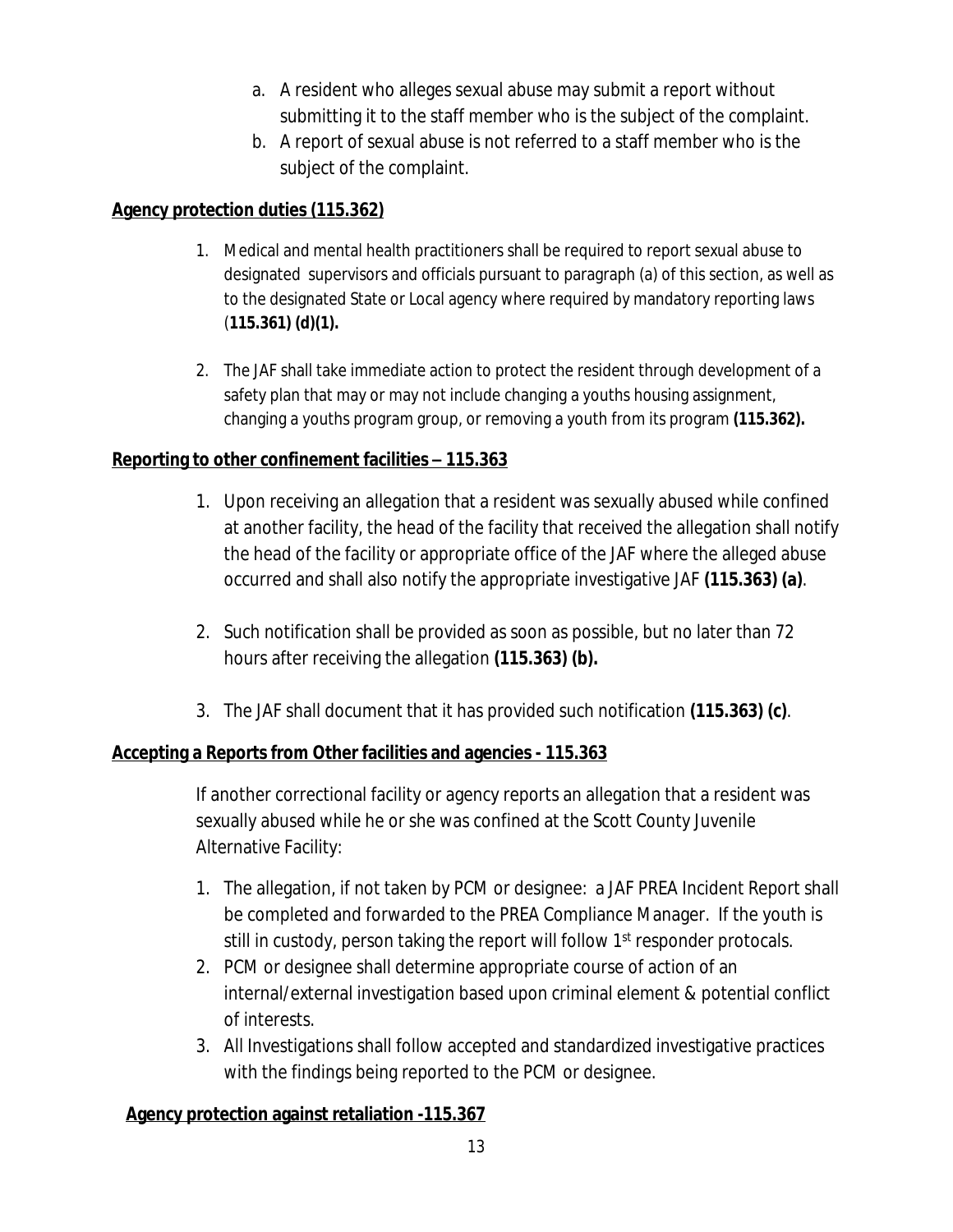- a. A resident who alleges sexual abuse may submit a report without submitting it to the staff member who is the subject of the complaint.
- b. A report of sexual abuse is not referred to a staff member who is the subject of the complaint.

### **Agency protection duties (115.362)**

- 1. Medical and mental health practitioners shall be required to report sexual abuse to designated supervisors and officials pursuant to paragraph (a) of this section, as well as to the designated State or Local agency where required by mandatory reporting laws (**115.361) (d)(1).**
- 2. The JAF shall take immediate action to protect the resident through development of a safety plan that may or may not include changing a youths housing assignment, changing a youths program group, or removing a youth from its program **(115.362).**

# **Reporting to other confinement facilities – 115.363**

- 1. Upon receiving an allegation that a resident was sexually abused while confined at another facility, the head of the facility that received the allegation shall notify the head of the facility or appropriate office of the JAF where the alleged abuse occurred and shall also notify the appropriate investigative JAF **(115.363) (a)**.
- 2. Such notification shall be provided as soon as possible, but no later than 72 hours after receiving the allegation **(115.363) (b).**
- 3. The JAF shall document that it has provided such notification **(115.363) (c)**.

# **Accepting a Reports from Other facilities and agencies - 115.363**

If another correctional facility or agency reports an allegation that a resident was sexually abused while he or she was confined at the Scott County Juvenile Alternative Facility:

- 1. The allegation, if not taken by PCM or designee: a JAF PREA Incident Report shall be completed and forwarded to the PREA Compliance Manager. If the youth is still in custody, person taking the report will follow 1<sup>st</sup> responder protocals.
- 2. PCM or designee shall determine appropriate course of action of an internal/external investigation based upon criminal element & potential conflict of interests.
- 3. All Investigations shall follow accepted and standardized investigative practices with the findings being reported to the PCM or designee.

### **Agency protection against retaliation -115.367**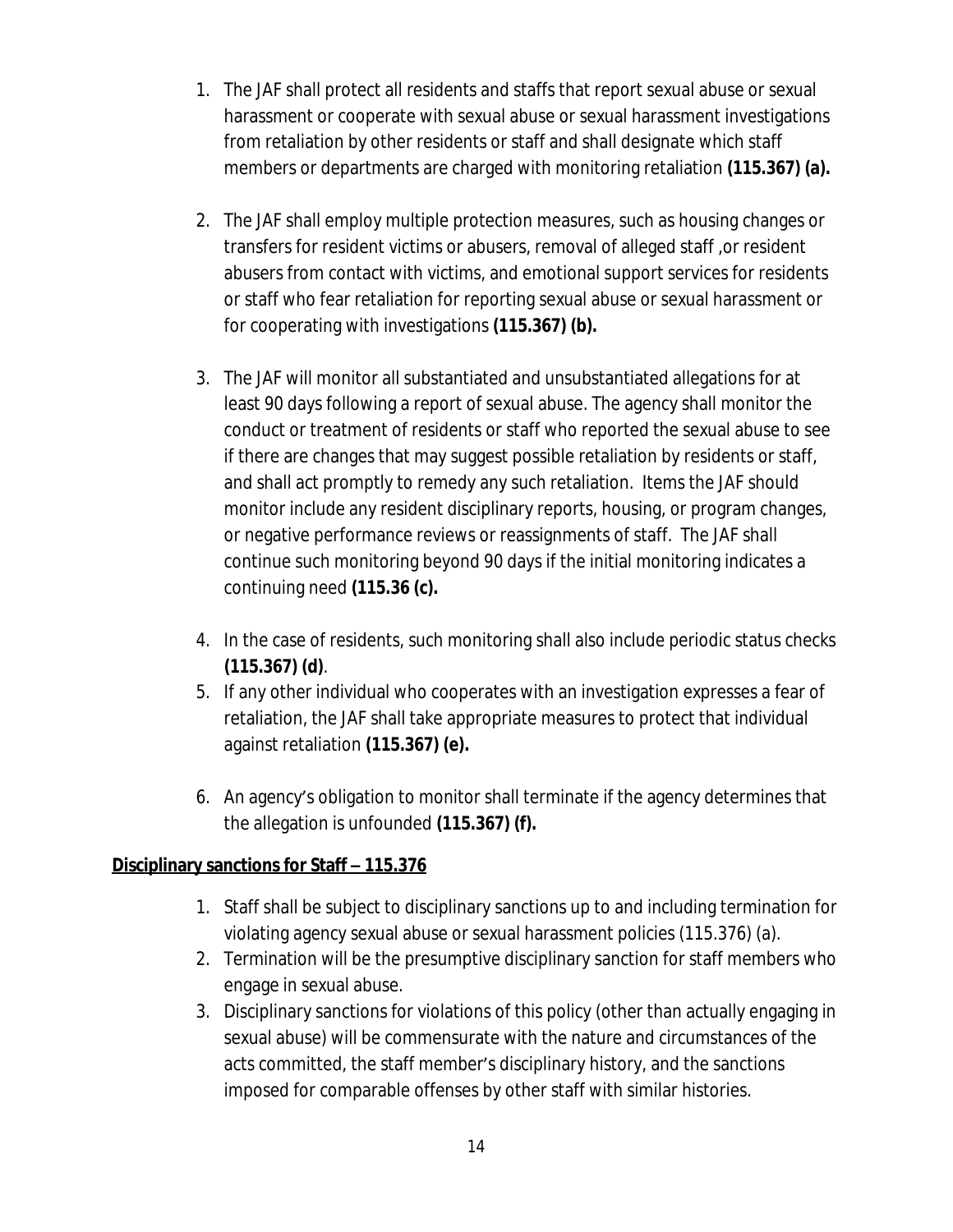- 1. The JAF shall protect all residents and staffs that report sexual abuse or sexual harassment or cooperate with sexual abuse or sexual harassment investigations from retaliation by other residents or staff and shall designate which staff members or departments are charged with monitoring retaliation **(115.367) (a).**
- 2. The JAF shall employ multiple protection measures, such as housing changes or transfers for resident victims or abusers, removal of alleged staff ,or resident abusers from contact with victims, and emotional support services for residents or staff who fear retaliation for reporting sexual abuse or sexual harassment or for cooperating with investigations **(115.367) (b).**
- 3. The JAF will monitor all substantiated and unsubstantiated allegations for at least 90 days following a report of sexual abuse. The agency shall monitor the conduct or treatment of residents or staff who reported the sexual abuse to see if there are changes that may suggest possible retaliation by residents or staff, and shall act promptly to remedy any such retaliation. Items the JAF should monitor include any resident disciplinary reports, housing, or program changes, or negative performance reviews or reassignments of staff. The JAF shall continue such monitoring beyond 90 days if the initial monitoring indicates a continuing need **(115.36 (c).**
- 4. In the case of residents, such monitoring shall also include periodic status checks **(115.367) (d)**.
- 5. If any other individual who cooperates with an investigation expresses a fear of retaliation, the JAF shall take appropriate measures to protect that individual against retaliation **(115.367) (e).**
- 6. An agency's obligation to monitor shall terminate if the agency determines that the allegation is unfounded **(115.367) (f).**

### **Disciplinary sanctions for Staff – 115.376**

- 1. Staff shall be subject to disciplinary sanctions up to and including termination for violating agency sexual abuse or sexual harassment policies (115.376) (a).
- 2. Termination will be the presumptive disciplinary sanction for staff members who engage in sexual abuse.
- 3. Disciplinary sanctions for violations of this policy (other than actually engaging in sexual abuse) will be commensurate with the nature and circumstances of the acts committed, the staff member's disciplinary history, and the sanctions imposed for comparable offenses by other staff with similar histories.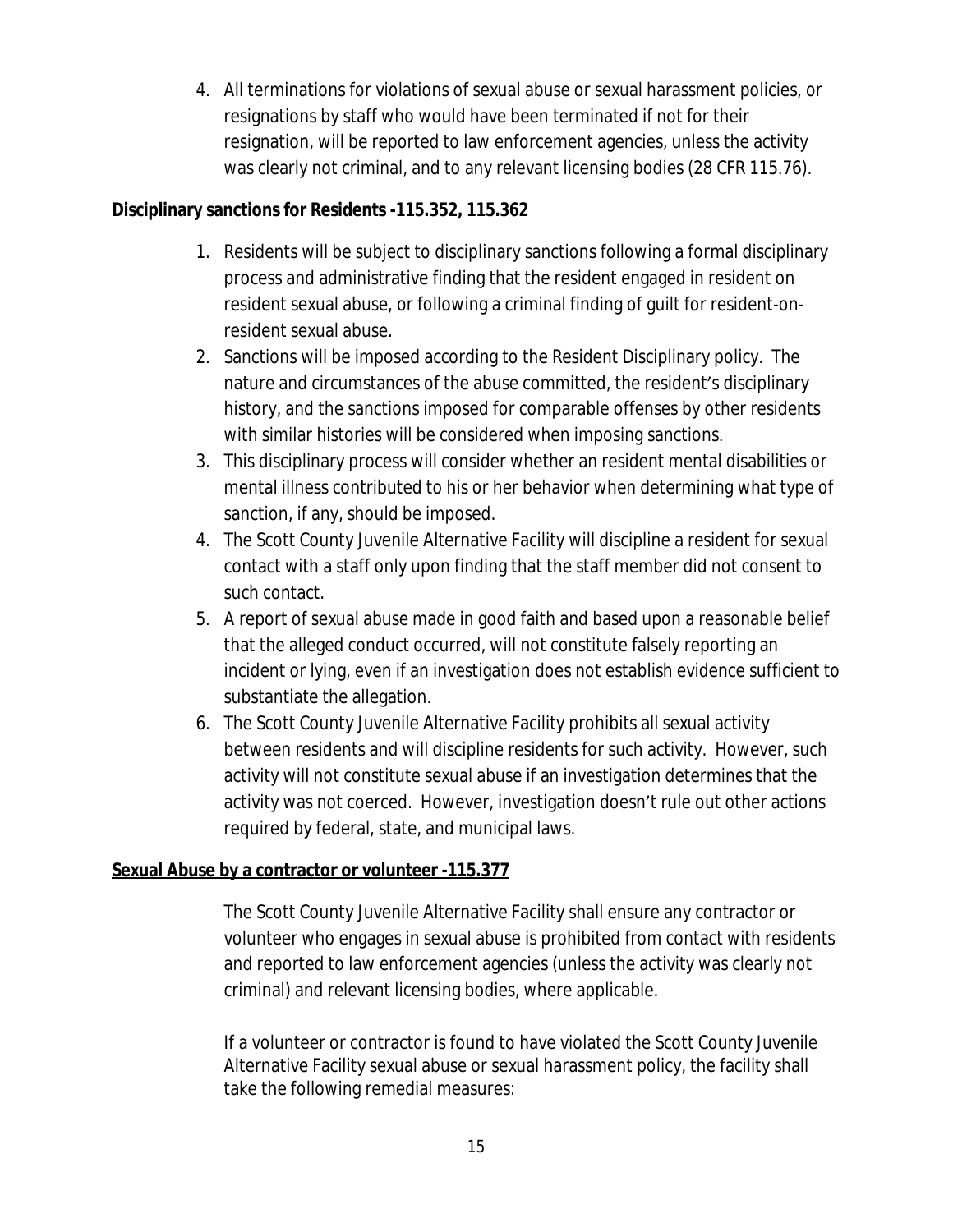4. All terminations for violations of sexual abuse or sexual harassment policies, or resignations by staff who would have been terminated if not for their resignation, will be reported to law enforcement agencies, unless the activity was clearly not criminal, and to any relevant licensing bodies (28 CFR 115.76).

#### **Disciplinary sanctions for Residents -115.352, 115.362**

- 1. Residents will be subject to disciplinary sanctions following a formal disciplinary process and administrative finding that the resident engaged in resident on resident sexual abuse, or following a criminal finding of guilt for resident-onresident sexual abuse.
- 2. Sanctions will be imposed according to the Resident Disciplinary policy. The nature and circumstances of the abuse committed, the resident's disciplinary history, and the sanctions imposed for comparable offenses by other residents with similar histories will be considered when imposing sanctions.
- 3. This disciplinary process will consider whether an resident mental disabilities or mental illness contributed to his or her behavior when determining what type of sanction, if any, should be imposed.
- 4. The Scott County Juvenile Alternative Facility will discipline a resident for sexual contact with a staff only upon finding that the staff member did not consent to such contact.
- 5. A report of sexual abuse made in good faith and based upon a reasonable belief that the alleged conduct occurred, will not constitute falsely reporting an incident or lying, even if an investigation does not establish evidence sufficient to substantiate the allegation.
- 6. The Scott County Juvenile Alternative Facility prohibits all sexual activity between residents and will discipline residents for such activity. However, such activity will not constitute sexual abuse if an investigation determines that the activity was not coerced. However, investigation doesn't rule out other actions required by federal, state, and municipal laws.

### **Sexual Abuse by a contractor or volunteer -115.377**

The Scott County Juvenile Alternative Facility shall ensure any contractor or volunteer who engages in sexual abuse is prohibited from contact with residents and reported to law enforcement agencies (unless the activity was clearly not criminal) and relevant licensing bodies, where applicable.

If a volunteer or contractor is found to have violated the Scott County Juvenile Alternative Facility sexual abuse or sexual harassment policy, the facility shall take the following remedial measures: